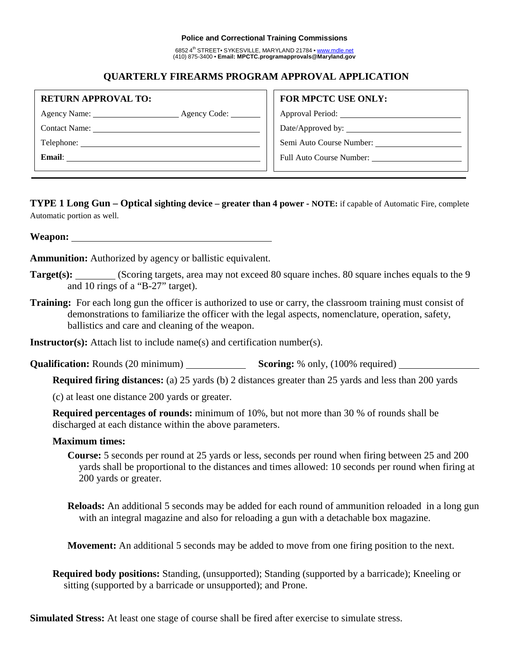#### **Police and Correctional Training Commissions**

6852 4<sup>th</sup> STREET• SYKESVILLE, MARYLAND 21784 • www.mdle.net (410) 875-3400 • **Email: MPCTC.programapprovals@Maryland.gov**

## **QUARTERLY FIREARMS PROGRAM APPROVAL APPLICATION**

| <b>RETURN APPROVAL TO:</b>        | <b>FOR MPCTC USE ONLY:</b>      |  |
|-----------------------------------|---------------------------------|--|
| Agency Name: 1988<br>Agency Code: |                                 |  |
|                                   | Date/Approved by:               |  |
|                                   | Semi Auto Course Number:        |  |
| Email:                            | <b>Full Auto Course Number:</b> |  |
|                                   |                                 |  |

**TYPE 1 Long Gun – Optical sighting device – greater than 4 power** *-* **NOTE:** if capable of Automatic Fire, complete Automatic portion as well.

**Weapon:**

**Ammunition:** Authorized by agency or ballistic equivalent.

- **Target(s):** (Scoring targets, area may not exceed 80 square inches. 80 square inches equals to the 9 and 10 rings of a "B-27" target).
- **Training:** For each long gun the officer is authorized to use or carry, the classroom training must consist of demonstrations to familiarize the officer with the legal aspects, nomenclature, operation, safety, ballistics and care and cleaning of the weapon.

**Instructor(s):** Attach list to include name(s) and certification number(s).

**Qualification:** Rounds (20 minimum) **Scoring:** % only, (100% required)

**Required firing distances:** (a) 25 yards (b) 2 distances greater than 25 yards and less than 200 yards

(c) at least one distance 200 yards or greater.

**Required percentages of rounds:** minimum of 10%, but not more than 30 % of rounds shall be discharged at each distance within the above parameters.

### **Maximum times:**

- **Course:** 5 seconds per round at 25 yards or less, seconds per round when firing between 25 and 200 yards shall be proportional to the distances and times allowed: 10 seconds per round when firing at 200 yards or greater.
- **Reloads:** An additional 5 seconds may be added for each round of ammunition reloaded in a long gun with an integral magazine and also for reloading a gun with a detachable box magazine.

**Movement:** An additional 5 seconds may be added to move from one firing position to the next.

**Required body positions:** Standing, (unsupported); Standing (supported by a barricade); Kneeling or sitting (supported by a barricade or unsupported); and Prone.

**Simulated Stress:** At least one stage of course shall be fired after exercise to simulate stress.